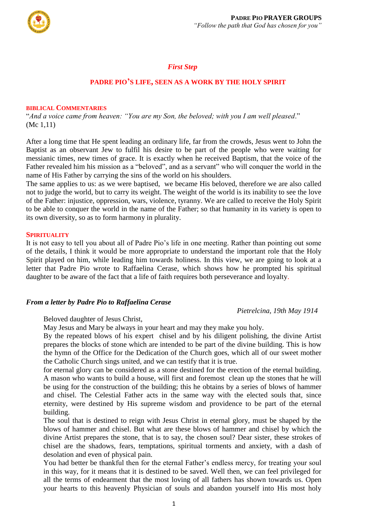

# *First Step*

#### **PADRE PIO'S LIFE, SEEN AS A WORK BY THE HOLY SPIRIT**

#### **BIBLICAL COMMENTARIES**

"*And a voice came from heaven: "You are my Son, the beloved; with you I am well pleased*." (Mc 1,11)

After a long time that He spent leading an ordinary life, far from the crowds, Jesus went to John the Baptist as an observant Jew to fulfil his desire to be part of the people who were waiting for messianic times, new times of grace. It is exactly when he received Baptism, that the voice of the Father revealed him his mission as a "beloved", and as a servant" who will conquer the world in the name of His Father by carrying the sins of the world on his shoulders.

The same applies to us: as we were baptised, we became His beloved, therefore we are also called not to judge the world, but to carry its weight. The weight of the world is its inability to see the love of the Father: injustice, oppression, wars, violence, tyranny. We are called to receive the Holy Spirit to be able to conquer the world in the name of the Father; so that humanity in its variety is open to its own diversity, so as to form harmony in plurality.

#### **SPIRITUALITY**

It is not easy to tell you about all of Padre Pio's life in one meeting. Rather than pointing out some of the details, I think it would be more appropriate to understand the important role that the Holy Spirit played on him, while leading him towards holiness. In this view, we are going to look at a letter that Padre Pio wrote to Raffaelina Cerase, which shows how he prompted his spiritual daughter to be aware of the fact that a life of faith requires both perseverance and loyalty.

#### *From a letter by Padre Pio to Raffaelina Cerase*

*Pietrelcina, 19th May 1914* 

Beloved daughter of Jesus Christ,

May Jesus and Mary be always in your heart and may they make you holy.

By the repeated blows of his expert chisel and by his diligent polishing, the divine Artist prepares the blocks of stone which are intended to be part of the divine building. This is how the hymn of the Office for the Dedication of the Church goes, which all of our sweet mother the Catholic Church sings united, and we can testify that it is true.

for eternal glory can be considered as a stone destined for the erection of the eternal building. A mason who wants to build a house, will first and foremost clean up the stones that he will be using for the construction of the building; this he obtains by a series of blows of hammer and chisel. The Celestial Father acts in the same way with the elected souls that, since eternity, were destined by His supreme wisdom and providence to be part of the eternal building.

The soul that is destined to reign with Jesus Christ in eternal glory, must be shaped by the blows of hammer and chisel. But what are these blows of hammer and chisel by which the divine Artist prepares the stone, that is to say, the chosen soul? Dear sister, these strokes of chisel are the shadows, fears, temptations, spiritual torments and anxiety, with a dash of desolation and even of physical pain.

You had better be thankful then for the eternal Father's endless mercy, for treating your soul in this way, for it means that it is destined to be saved. Well then, we can feel privileged for all the terms of endearment that the most loving of all fathers has shown towards us. Open your hearts to this heavenly Physician of souls and abandon yourself into His most holy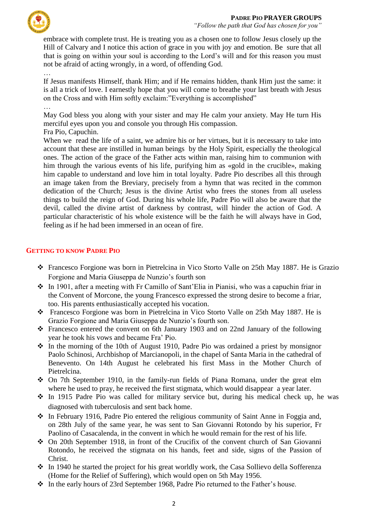

embrace with complete trust. He is treating you as a chosen one to follow Jesus closely up the Hill of Calvary and I notice this action of grace in you with joy and emotion. Be sure that all that is going on within your soul is according to the Lord's will and for this reason you must not be afraid of acting wrongly, in a word, of offending God.

If Jesus manifests Himself, thank Him; and if He remains hidden, thank Him just the same: it is all a trick of love. I earnestly hope that you will come to breathe your last breath with Jesus on the Cross and with Him softly exclaim:"Everything is accomplished"

…

…

May God bless you along with your sister and may He calm your anxiety. May He turn His merciful eyes upon you and console you through His compassion.

Fra Pio, Capuchin.

When we read the life of a saint, we admire his or her virtues, but it is necessary to take into account that these are instilled in human beings by the Holy Spirit, especially the theological ones. The action of the grace of the Father acts within man, raising him to communion with him through the various events of his life, purifying him as «gold in the crucible», making him capable to understand and love him in total loyalty. Padre Pio describes all this through an image taken from the Breviary, precisely from a hymn that was recited in the common dedication of the Church; Jesus is the divine Artist who frees the stones from all useless things to build the reign of God. During his whole life, Padre Pio will also be aware that the devil, called the divine artist of darkness by contrast, will hinder the action of God. A particular characteristic of his whole existence will be the faith he will always have in God, feeling as if he had been immersed in an ocean of fire.

# **GETTING TO KNOW PADRE PIO**

- Francesco Forgione was born in Pietrelcina in Vico Storto Valle on 25th May 1887. He is Grazio Forgione and Maria Giuseppa de Nunzio's fourth son
- $\cdot$  In 1901, after a meeting with Fr Camillo of Sant'Elia in Pianisi, who was a capuchin friar in the Convent of Morcone, the young Francesco expressed the strong desire to become a friar, too. His parents enthusiastically accepted his vocation.
- Francesco Forgione was born in Pietrelcina in Vico Storto Valle on 25th May 1887. He is Grazio Forgione and Maria Giuseppa de Nunzio's fourth son.
- Francesco entered the convent on 6th January 1903 and on 22nd January of the following year he took his vows and became Fra' Pio.
- $\cdot \cdot$  In the morning of the 10th of August 1910, Padre Pio was ordained a priest by monsignor Paolo Schinosi, Archbishop of Marcianopoli, in the chapel of Santa Maria in the cathedral of Benevento. On 14th August he celebrated his first Mass in the Mother Church of Pietrelcina.
- $\div$  On 7th September 1910, in the family-run fields of Piana Romana, under the great elm where he used to pray, he received the first stigmata, which would disappear a year later.
- $\cdot$  In 1915 Padre Pio was called for military service but, during his medical check up, he was diagnosed with tuberculosis and sent back home.
- In February 1916, Padre Pio entered the religious community of Saint Anne in Foggia and, on 28th July of the same year, he was sent to San Giovanni Rotondo by his superior, Fr Paolino of Casacalenda, in the convent in which he would remain for the rest of his life.
- On 20th September 1918, in front of the Crucifix of the convent church of San Giovanni Rotondo, he received the stigmata on his hands, feet and side, signs of the Passion of Christ.
- In 1940 he started the project for his great worldly work, the Casa Sollievo della Sofferenza (Home for the Relief of Suffering), which would open on 5th May 1956.
- In the early hours of 23rd September 1968, Padre Pio returned to the Father's house.